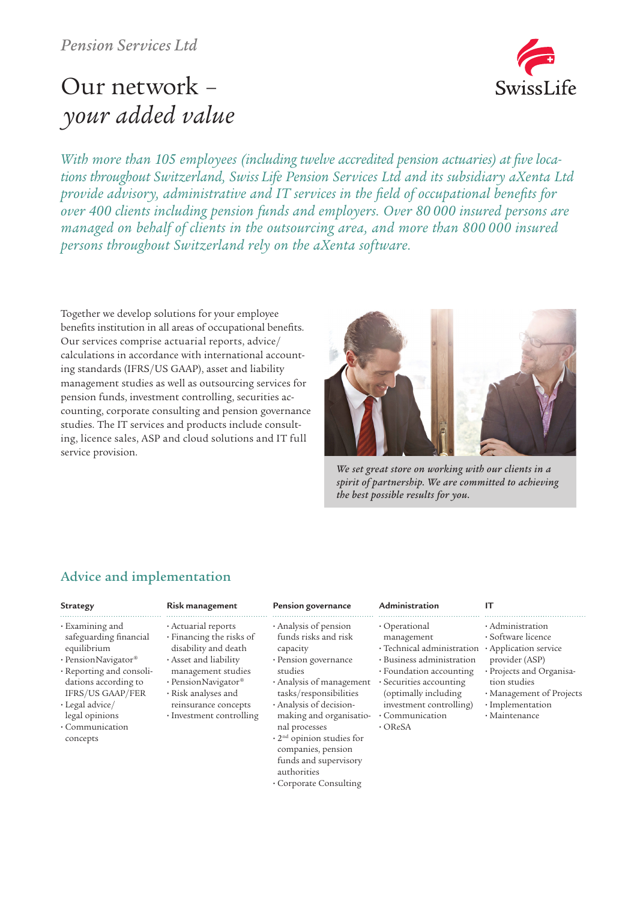# Our network – *your added value*

SwissLife

*With more than 105 employees (including twelve accredited pension actuaries) at five locations throughout Switzerland, Swiss Life Pension Services Ltd and its subsidiary aXenta Ltd provide advisory, administrative and IT services in the field of occupational benefits for over 400 clients including pension funds and employers. Over 80 000 insured persons are managed on behalf of clients in the outsourcing area, and more than 800 000 insured persons throughout Switzerland rely on the aXenta software.*

Together we develop solutions for your employee benefits institution in all areas of occupational benefits. Our services comprise actuarial reports, advice/ calculations in accordance with international accounting standards (IFRS/US GAAP), asset and liability management studies as well as outsourcing services for pension funds, investment controlling, securities accounting, corporate consulting and pension governance studies. The IT services and products include consulting, licence sales, ASP and cloud solutions and IT full service provision.



*We set great store on working with our clients in a spirit of partnership. We are committed to achieving the best possible results for you.* 

# Advice and implementation

| <b>Strategy</b>                                                                                                                                                                                                                    | Risk management                                                                                                                                                                                                               | Pension governance                                                                                                                                                                                                                                                                                                                                                   | Administration                                                                                                                                                                                                                                        | ΙT                                                                                                                                                                                             |
|------------------------------------------------------------------------------------------------------------------------------------------------------------------------------------------------------------------------------------|-------------------------------------------------------------------------------------------------------------------------------------------------------------------------------------------------------------------------------|----------------------------------------------------------------------------------------------------------------------------------------------------------------------------------------------------------------------------------------------------------------------------------------------------------------------------------------------------------------------|-------------------------------------------------------------------------------------------------------------------------------------------------------------------------------------------------------------------------------------------------------|------------------------------------------------------------------------------------------------------------------------------------------------------------------------------------------------|
| · Examining and<br>safeguarding financial<br>equilibrium<br>· Pension Navigator®<br>· Reporting and consoli-<br>dations according to<br>IFRS/US GAAP/FER<br>$\cdot$ Legal advice/<br>legal opinions<br>· Communication<br>concepts | · Actuarial reports<br>$\cdot$ Financing the risks of<br>disability and death<br>Asset and liability<br>management studies<br>· Pension Navigator®<br>· Risk analyses and<br>reinsurance concepts<br>· Investment controlling | $\cdot$ Analysis of pension<br>funds risks and risk<br>capacity<br>· Pension governance<br>studies<br>· Analysis of management<br>tasks/responsibilities<br>· Analysis of decision-<br>making and organisatio-<br>nal processes<br>$\cdot$ 2 <sup>nd</sup> opinion studies for<br>companies, pension<br>funds and supervisory<br>authorities<br>Corporate Consulting | $\cdot$ Operational<br>management<br>$\cdot$ Technical administration<br>· Business administration<br>· Foundation accounting<br>· Securities accounting<br>(optimally including<br>investment controlling)<br>$\cdot$ Communication<br>$\cdot$ OReSA | · Administration<br>· Software licence<br>· Application service<br>provider (ASP)<br>· Projects and Organisa-<br>tion studies<br>· Management of Projects<br>· Implementation<br>· Maintenance |